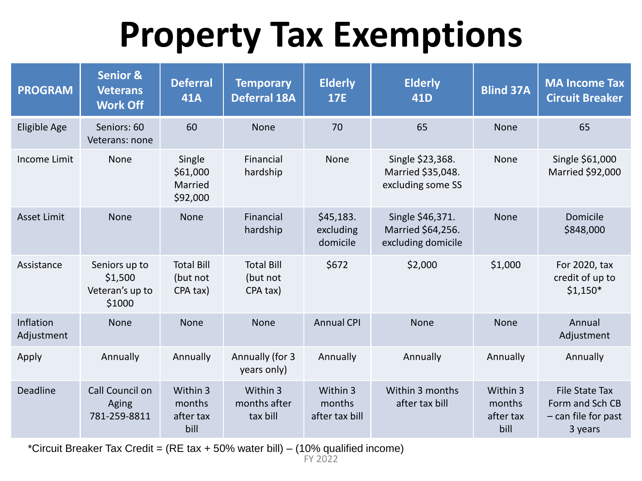## **Property Tax Exemptions**

| <b>PROGRAM</b>          | <b>Senior &amp;</b><br><b>Veterans</b><br><b>Work Off</b> | <b>Deferral</b><br><b>41A</b>             | <b>Temporary</b><br><b>Deferral 18A</b>   | <b>Elderly</b><br>17E                | <b>Elderly</b><br><b>41D</b>                                | <b>Blind 37A</b>                        | <b>MA Income Tax</b><br><b>Circuit Breaker</b>                               |
|-------------------------|-----------------------------------------------------------|-------------------------------------------|-------------------------------------------|--------------------------------------|-------------------------------------------------------------|-----------------------------------------|------------------------------------------------------------------------------|
| Eligible Age            | Seniors: 60<br>Veterans: none                             | 60                                        | <b>None</b>                               | 70                                   | 65                                                          | None                                    | 65                                                                           |
| Income Limit            | None                                                      | Single<br>\$61,000<br>Married<br>\$92,000 | Financial<br>hardship                     | None                                 | Single \$23,368.<br>Married \$35,048.<br>excluding some SS  | None                                    | Single \$61,000<br>Married \$92,000                                          |
| <b>Asset Limit</b>      | None                                                      | None                                      | Financial<br>hardship                     | \$45,183.<br>excluding<br>domicile   | Single \$46,371.<br>Married \$64,256.<br>excluding domicile | None                                    | Domicile<br>\$848,000                                                        |
| Assistance              | Seniors up to<br>\$1,500<br>Veteran's up to<br>\$1000     | <b>Total Bill</b><br>(but not<br>CPA tax) | <b>Total Bill</b><br>(but not<br>CPA tax) | \$672                                | \$2,000                                                     | \$1,000                                 | For 2020, tax<br>credit of up to<br>$$1,150*$                                |
| Inflation<br>Adjustment | None                                                      | None                                      | None                                      | <b>Annual CPI</b>                    | None                                                        | None                                    | Annual<br>Adjustment                                                         |
| Apply                   | Annually                                                  | Annually                                  | Annually (for 3<br>years only)            | Annually                             | Annually                                                    | Annually                                | Annually                                                                     |
| <b>Deadline</b>         | Call Council on<br>Aging<br>781-259-8811                  | Within 3<br>months<br>after tax<br>bill   | Within 3<br>months after<br>tax bill      | Within 3<br>months<br>after tax bill | Within 3 months<br>after tax bill                           | Within 3<br>months<br>after tax<br>bill | <b>File State Tax</b><br>Form and Sch CB<br>$-$ can file for past<br>3 years |

\*Circuit Breaker Tax Credit = (RE tax  $+$  50% water bill) – (10% qualified income)